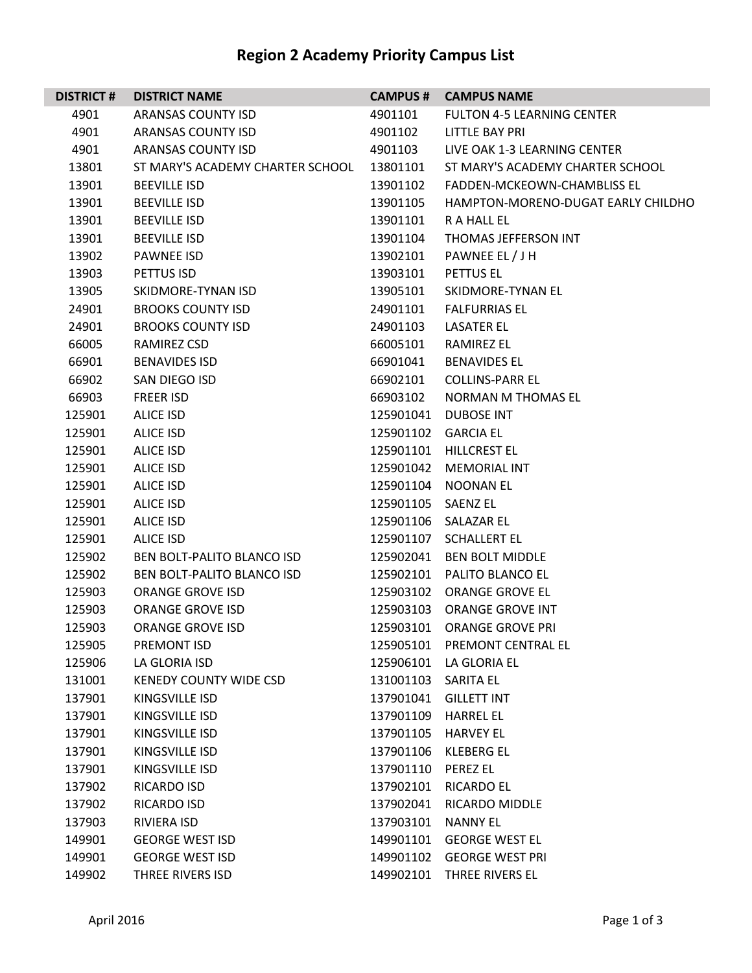## **Region 2 Academy Priority Campus List**

| <b>DISTRICT#</b> | <b>DISTRICT NAME</b>              |                     | <b>CAMPUS # CAMPUS NAME</b>        |
|------------------|-----------------------------------|---------------------|------------------------------------|
| 4901             | ARANSAS COUNTY ISD                | 4901101             | <b>FULTON 4-5 LEARNING CENTER</b>  |
| 4901             | ARANSAS COUNTY ISD                | 4901102             | LITTLE BAY PRI                     |
| 4901             | ARANSAS COUNTY ISD                | 4901103             | LIVE OAK 1-3 LEARNING CENTER       |
| 13801            | ST MARY'S ACADEMY CHARTER SCHOOL  | 13801101            | ST MARY'S ACADEMY CHARTER SCHOOL   |
| 13901            | <b>BEEVILLE ISD</b>               | 13901102            | FADDEN-MCKEOWN-CHAMBLISS EL        |
| 13901            | <b>BEEVILLE ISD</b>               | 13901105            | HAMPTON-MORENO-DUGAT EARLY CHILDHO |
| 13901            | <b>BEEVILLE ISD</b>               | 13901101            | R A HALL EL                        |
| 13901            | <b>BEEVILLE ISD</b>               | 13901104            | THOMAS JEFFERSON INT               |
| 13902            | PAWNEE ISD                        | 13902101            | PAWNEE EL / J H                    |
| 13903            | PETTUS ISD                        | 13903101            | PETTUS EL                          |
| 13905            | SKIDMORE-TYNAN ISD                | 13905101            | SKIDMORE-TYNAN EL                  |
| 24901            | <b>BROOKS COUNTY ISD</b>          | 24901101            | <b>FALFURRIAS EL</b>               |
| 24901            | <b>BROOKS COUNTY ISD</b>          | 24901103            | <b>LASATER EL</b>                  |
| 66005            | RAMIREZ CSD                       | 66005101            | <b>RAMIREZ EL</b>                  |
| 66901            | <b>BENAVIDES ISD</b>              | 66901041            | <b>BENAVIDES EL</b>                |
| 66902            | SAN DIEGO ISD                     | 66902101            | <b>COLLINS-PARR EL</b>             |
| 66903            | <b>FREER ISD</b>                  | 66903102            | NORMAN M THOMAS EL                 |
| 125901           | ALICE ISD                         | 125901041           | <b>DUBOSE INT</b>                  |
| 125901           | ALICE ISD                         | 125901102 GARCIA EL |                                    |
| 125901           | ALICE ISD                         |                     | 125901101 HILLCREST EL             |
| 125901           | ALICE ISD                         |                     | 125901042 MEMORIAL INT             |
| 125901           | <b>ALICE ISD</b>                  |                     | 125901104 NOONAN EL                |
| 125901           | ALICE ISD                         | 125901105 SAENZ EL  |                                    |
| 125901           | ALICE ISD                         |                     | 125901106 SALAZAR EL               |
| 125901           | <b>ALICE ISD</b>                  |                     | 125901107 SCHALLERT EL             |
| 125902           | <b>BEN BOLT-PALITO BLANCO ISD</b> |                     | 125902041 BEN BOLT MIDDLE          |
| 125902           | BEN BOLT-PALITO BLANCO ISD        | 125902101           | PALITO BLANCO EL                   |
| 125903           | ORANGE GROVE ISD                  |                     | 125903102 ORANGE GROVE EL          |
| 125903           | <b>ORANGE GROVE ISD</b>           | 125903103           | <b>ORANGE GROVE INT</b>            |
| 125903           | <b>ORANGE GROVE ISD</b>           |                     | 125903101 ORANGE GROVE PRI         |
| 125905           | PREMONT ISD                       |                     | 125905101 PREMONT CENTRAL EL       |
| 125906           | LA GLORIA ISD                     |                     | 125906101 LA GLORIA EL             |
| 131001           | <b>KENEDY COUNTY WIDE CSD</b>     | 131001103 SARITA EL |                                    |
| 137901           | KINGSVILLE ISD                    | 137901041           | <b>GILLETT INT</b>                 |
| 137901           | KINGSVILLE ISD                    | 137901109           | <b>HARREL EL</b>                   |
| 137901           | KINGSVILLE ISD                    | 137901105           | HARVEY EL                          |
| 137901           | KINGSVILLE ISD                    |                     | 137901106 KLEBERG EL               |
| 137901           | KINGSVILLE ISD                    | 137901110 PEREZ EL  |                                    |
| 137902           | RICARDO ISD                       | 137902101           | <b>RICARDO EL</b>                  |
| 137902           | RICARDO ISD                       | 137902041           | RICARDO MIDDLE                     |
| 137903           | RIVIERA ISD                       | 137903101           | NANNY EL                           |
| 149901           | <b>GEORGE WEST ISD</b>            | 149901101           | <b>GEORGE WEST EL</b>              |
| 149901           | <b>GEORGE WEST ISD</b>            |                     | 149901102 GEORGE WEST PRI          |
| 149902           | THREE RIVERS ISD                  | 149902101           | THREE RIVERS EL                    |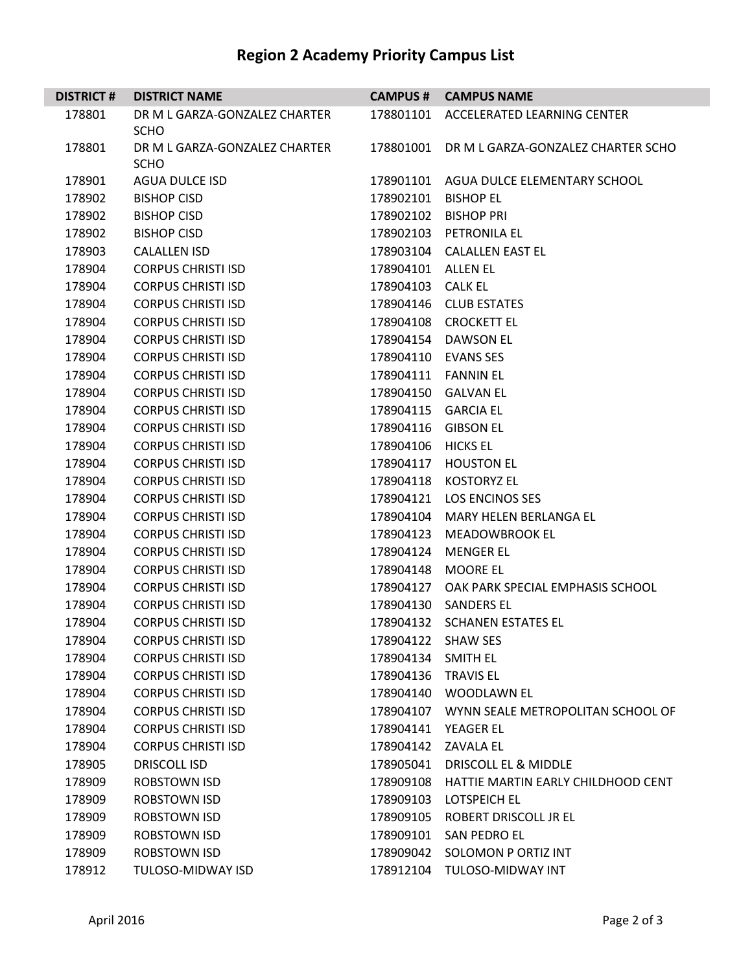## **Region 2 Academy Priority Campus List**

| <b>DISTRICT#</b> | <b>DISTRICT NAME</b>          |                     | <b>CAMPUS # CAMPUS NAME</b>                 |
|------------------|-------------------------------|---------------------|---------------------------------------------|
| 178801           | DR M L GARZA-GONZALEZ CHARTER |                     | 178801101 ACCELERATED LEARNING CENTER       |
|                  | <b>SCHO</b>                   |                     |                                             |
| 178801           | DR M L GARZA-GONZALEZ CHARTER | 178801001           | DR M L GARZA-GONZALEZ CHARTER SCHO          |
|                  | <b>SCHO</b>                   |                     |                                             |
| 178901           | AGUA DULCE ISD                |                     | 178901101 AGUA DULCE ELEMENTARY SCHOOL      |
| 178902           | <b>BISHOP CISD</b>            | 178902101           | <b>BISHOP EL</b>                            |
| 178902           | <b>BISHOP CISD</b>            |                     | 178902102 BISHOP PRI                        |
| 178902           | <b>BISHOP CISD</b>            |                     | 178902103 PETRONILA EL                      |
| 178903           | <b>CALALLEN ISD</b>           |                     | 178903104 CALALLEN EAST EL                  |
| 178904           | <b>CORPUS CHRISTI ISD</b>     | 178904101 ALLEN EL  |                                             |
| 178904           | <b>CORPUS CHRISTI ISD</b>     | 178904103 CALK EL   |                                             |
| 178904           | <b>CORPUS CHRISTI ISD</b>     |                     | 178904146 CLUB ESTATES                      |
| 178904           | <b>CORPUS CHRISTI ISD</b>     |                     | 178904108 CROCKETT EL                       |
| 178904           | <b>CORPUS CHRISTI ISD</b>     | 178904154           | <b>DAWSON EL</b>                            |
| 178904           | <b>CORPUS CHRISTI ISD</b>     |                     | 178904110 EVANS SES                         |
| 178904           | <b>CORPUS CHRISTI ISD</b>     |                     | 178904111  FANNIN EL                        |
| 178904           | <b>CORPUS CHRISTI ISD</b>     |                     | 178904150 GALVAN EL                         |
| 178904           | <b>CORPUS CHRISTI ISD</b>     | 178904115           | <b>GARCIA EL</b>                            |
| 178904           | <b>CORPUS CHRISTI ISD</b>     | 178904116           | <b>GIBSON EL</b>                            |
| 178904           | <b>CORPUS CHRISTI ISD</b>     | 178904106 HICKS EL  |                                             |
| 178904           | <b>CORPUS CHRISTI ISD</b>     | 178904117           | <b>HOUSTON EL</b>                           |
| 178904           | <b>CORPUS CHRISTI ISD</b>     |                     | 178904118 KOSTORYZ EL                       |
| 178904           | <b>CORPUS CHRISTI ISD</b>     | 178904121           | <b>LOS ENCINOS SES</b>                      |
| 178904           | <b>CORPUS CHRISTI ISD</b>     | 178904104           | MARY HELEN BERLANGA EL                      |
| 178904           | <b>CORPUS CHRISTI ISD</b>     | 178904123           | MEADOWBROOK EL                              |
| 178904           | <b>CORPUS CHRISTI ISD</b>     | 178904124           | <b>MENGER EL</b>                            |
| 178904           | <b>CORPUS CHRISTI ISD</b>     |                     | 178904148 MOORE EL                          |
| 178904           | <b>CORPUS CHRISTI ISD</b>     | 178904127           | OAK PARK SPECIAL EMPHASIS SCHOOL            |
| 178904           | <b>CORPUS CHRISTI ISD</b>     |                     | 178904130 SANDERS EL                        |
| 178904           | <b>CORPUS CHRISTI ISD</b>     |                     | 178904132 SCHANEN ESTATES EL                |
| 178904           | <b>CORPUS CHRISTI ISD</b>     | 178904122           | <b>SHAW SES</b>                             |
| 178904           | <b>CORPUS CHRISTI ISD</b>     | 178904134 SMITH EL  |                                             |
| 178904           | <b>CORPUS CHRISTI ISD</b>     | 178904136 TRAVIS EL |                                             |
| 178904           | <b>CORPUS CHRISTI ISD</b>     |                     | 178904140 WOODLAWN EL                       |
| 178904           | <b>CORPUS CHRISTI ISD</b>     |                     | 178904107 WYNN SEALE METROPOLITAN SCHOOL OF |
| 178904           | <b>CORPUS CHRISTI ISD</b>     | 178904141           | <b>YEAGER EL</b>                            |
| 178904           | <b>CORPUS CHRISTI ISD</b>     | 178904142           | <b>ZAVALA EL</b>                            |
| 178905           | <b>DRISCOLL ISD</b>           | 178905041           | DRISCOLL EL & MIDDLE                        |
| 178909           | <b>ROBSTOWN ISD</b>           | 178909108           | HATTIE MARTIN EARLY CHILDHOOD CENT          |
| 178909           | ROBSTOWN ISD                  | 178909103           | LOTSPEICH EL                                |
| 178909           | <b>ROBSTOWN ISD</b>           | 178909105           | ROBERT DRISCOLL JR EL                       |
| 178909           | <b>ROBSTOWN ISD</b>           | 178909101           | SAN PEDRO EL                                |
| 178909           | ROBSTOWN ISD                  | 178909042           | SOLOMON P ORTIZ INT                         |
| 178912           | TULOSO-MIDWAY ISD             | 178912104           | TULOSO-MIDWAY INT                           |